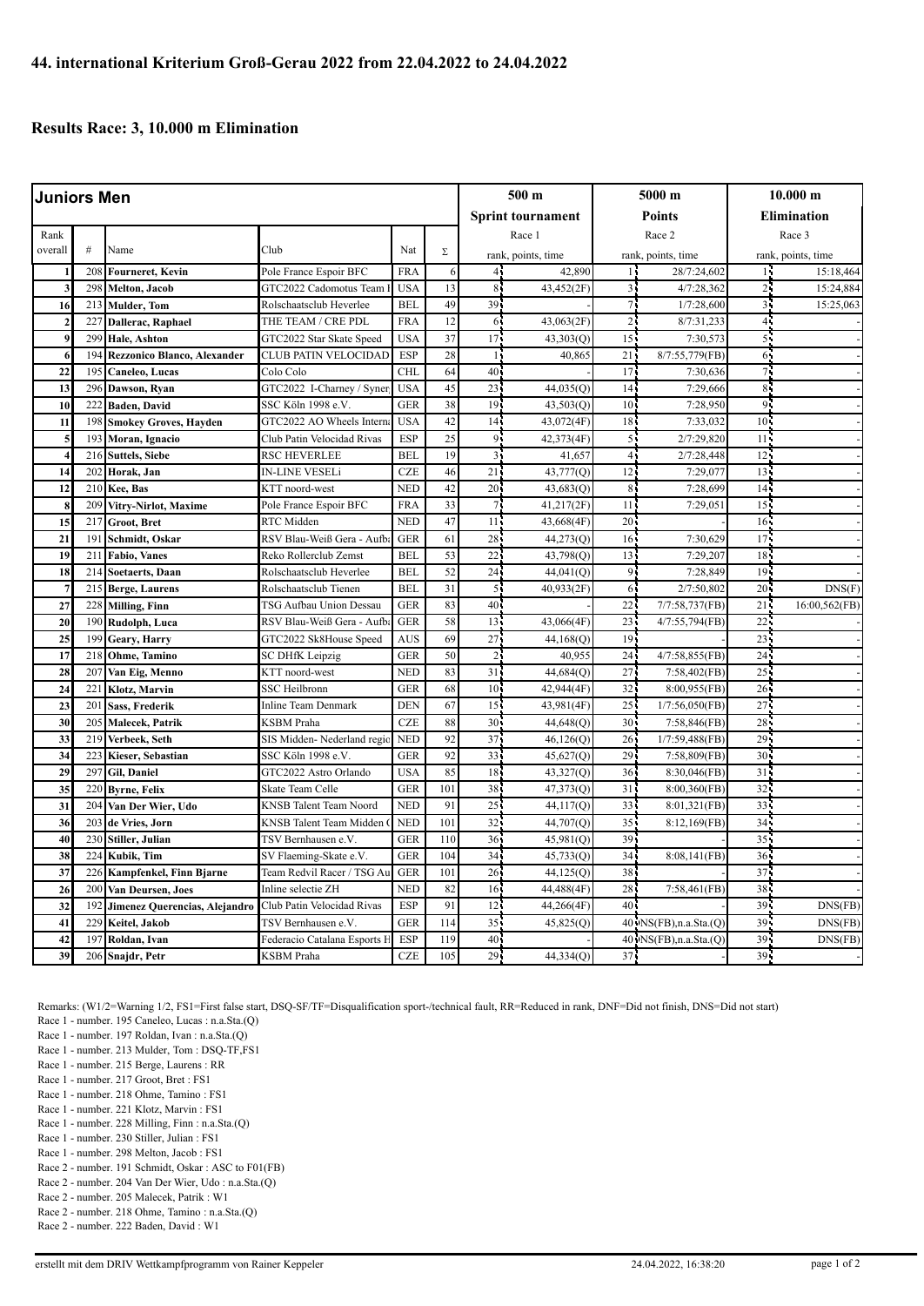## **Results Race: 3, 10.000 m Elimination**

| Juniors Men             |                 |                                              |                                                  |                          |            | $500 \text{ m}$ |                          | 5000 m          |                          | $10.000 \;{\rm m}$ |                    |  |
|-------------------------|-----------------|----------------------------------------------|--------------------------------------------------|--------------------------|------------|-----------------|--------------------------|-----------------|--------------------------|--------------------|--------------------|--|
|                         |                 |                                              |                                                  |                          |            |                 | <b>Sprint tournament</b> |                 | <b>Points</b>            |                    | <b>Elimination</b> |  |
| Rank                    |                 |                                              |                                                  |                          |            |                 | Race 1                   | Race 2          |                          | Race 3             |                    |  |
| overall                 | $\#$            | Name                                         | Club                                             | Nat                      | $\Sigma$   |                 | rank, points, time       |                 | rank, points, time       |                    | rank, points, time |  |
|                         | 208             | <b>Fourneret, Kevin</b>                      | Pole France Espoir BFC                           | <b>FRA</b>               |            | 44              | 42,890                   |                 | 28/7:24,602              |                    | 15:18,464          |  |
| $\overline{\mathbf{3}}$ | 298             | Melton, Jacob                                | GTC2022 Cadomotus Team                           | <b>USA</b>               | 13         | $\,$ 8 $\,$     | 43,452(2F)               | 3,              | 4/7:28,362               | 25                 | 15:24,884          |  |
| 16                      | 213             | <b>Mulder</b> , Tom                          | Rolschaatsclub Heverlee                          | <b>BEL</b>               | 49         | 39              |                          | 71              | 1/7:28,600               | 3 <sub>1</sub>     | 15:25,063          |  |
| $\overline{2}$          | $22^{\degree}$  | Dallerac, Raphael                            | THE TEAM / CRE PDL                               | <b>FRA</b>               | 12         | 6               | 43,063(2F)               | ا 2             | 8/7:31,233               | $\overline{4}$     |                    |  |
| 9                       | 299             | Hale, Ashton                                 | GTC2022 Star Skate Speed                         | <b>USA</b>               | 37         | 17              | 43,303(Q)                | 15              | 7:30,573                 | 5.                 |                    |  |
| 6                       | 194             | <b>Rezzonico Blanco, Alexander</b>           | CLUB PATIN VELOCIDAD                             | <b>ESP</b>               | 28         | $\mathbf{1}$    | 40,865                   | 21              | 8/7:55,779(FB)           | 65                 |                    |  |
| 22                      | 195             | Caneleo, Lucas                               | Colo Colo                                        | <b>CHL</b>               | 64         | 40              |                          | 17 <sup>1</sup> | 7:30,636                 | 71                 |                    |  |
| 13                      | 296             | Dawson, Ryan                                 | GTC2022 I-Charney / Syner                        | <b>USA</b>               | 45         | 23              | 44,035(Q)                | 14              | 7:29,666                 | 85                 |                    |  |
| 10                      | 222             | <b>Baden</b> , David                         | SSC Köln 1998 e.V.                               | <b>GER</b>               | 38         | 19              | 43,503(Q)                | $10^{\circ}$    | 7:28,950                 | 91                 |                    |  |
| 11                      | 198             | <b>Smokey Groves, Hayden</b>                 | GTC2022 AO Wheels Intern                         | <b>USA</b>               | 42         | 14              | 43,072(4F)               | 18              | 7:33,032                 | 10 <sup>1</sup>    |                    |  |
| 5                       | 193             | Moran, Ignacio                               | Club Patin Velocidad Rivas                       | <b>ESP</b>               | 25         | 9               | 42,373(4F)               | 5 <sub>1</sub>  | 2/7:29,820               | 11                 |                    |  |
| $\overline{4}$          | 216             | <b>Suttels, Siebe</b>                        | <b>RSC HEVERLEE</b>                              | <b>BEL</b>               | 19         | 3               | 41,657                   | $\overline{4}$  | 2/7:28,448               | 12                 |                    |  |
| 14                      | 202             | Horak, Jan                                   | IN-LINE VESELi                                   | <b>CZE</b>               | 46         | 21              | 43,777(Q)                | 12              | 7:29,077                 | 13                 |                    |  |
| 12                      | 210             | Kee, Bas                                     | KTT noord-west                                   | <b>NED</b>               | 42         | 20              | 43,683(Q)                | 8 <sub>1</sub>  | 7:28,699                 | 14                 |                    |  |
| 8                       | 209             | Vitry-Nirlot, Maxime                         | Pole France Espoir BFC                           | <b>FRA</b>               | 33         | 7               | 41,217(2F)               | 11              | 7:29,05                  | 15                 |                    |  |
| 15                      | 21'             | Groot, Bret                                  | RTC Midden                                       | <b>NED</b>               | 47         | 11              | 43,668(4F)               | 20 <sub>1</sub> |                          | 16                 |                    |  |
| 21                      | 19 <sup>°</sup> | Schmidt, Oskar                               | RSV Blau-Weiß Gera - Aufba                       | <b>GER</b>               | 61         | 28              | 44,273(Q)                | 16              | 7:30,629                 | 17                 |                    |  |
| 19                      | 211             | Fabio, Vanes                                 | Reko Rollerclub Zemst                            | <b>BEL</b>               | 53         | 22              | 43,798(Q)                | 13              | 7:29,207                 | 18                 |                    |  |
| 18                      | 214             | Soetaerts, Daan                              | Rolschaatsclub Heverlee                          | <b>BEL</b>               | 52         | 24              | 44,041(Q)                | 9               | 7:28,849                 | 19                 |                    |  |
| $\overline{7}$          | 215             | <b>Berge, Laurens</b>                        | Rolschaatsclub Tienen                            | <b>BEL</b>               | 31         | 5               | 40,933(2F)               | 6               | 2/7:50,802               | 20                 | DNS(F)             |  |
| 27                      | 228             | <b>Milling</b> , Finn                        | TSG Aufbau Union Dessau                          | <b>GER</b>               | 83         | 40              |                          | 22              | 7/7:58,737(FB            | 21                 | 16:00,562(FB)      |  |
| 20                      | 190             | Rudolph, Luca                                | RSV Blau-Weiß Gera - Aufb                        | <b>GER</b>               | 58         | 13              | 43,066(4F)               | 23              | 4/7:55,794(FB            | 22                 |                    |  |
| 25                      | 199             | Geary, Harry                                 | GTC2022 Sk8House Speed                           | <b>AUS</b>               | 69         | 27              | 44,168(Q)                | 19              |                          | 23                 |                    |  |
| 17                      | 218             | Ohme, Tamino                                 | SC DHfK Leipzig                                  | <b>GER</b>               | 50         | $\overline{2}$  | 40,955                   | 24 <sup>1</sup> | 4/7:58,855(FB)           | 24                 |                    |  |
| 28                      | 207             | Van Eig, Menno                               | KTT noord-west                                   | <b>NED</b>               | 83         | 31              | 44,684(Q)                | 27              | 7:58,402(FB)             | 25                 |                    |  |
| 24                      | 22              | Klotz, Marvin                                | <b>SSC</b> Heilbronn                             | <b>GER</b>               | 68         | 10              | 42,944(4F)               | 32              | 8:00,955(FB)             | 26                 |                    |  |
| 23                      | 201             | Sass, Frederik                               | Inline Team Denmark                              | <b>DEN</b>               | 67         | 15              | 43,981(4F)               | 25              | $1/7:56,050$ (FB         | 27                 |                    |  |
| 30                      | 205             | Malecek, Patrik                              | <b>KSBM</b> Praha                                | <b>CZE</b>               | 88         | 30              | 44,648(Q)                | 30 <sup>1</sup> | 7:58,846(FB)             | 28                 |                    |  |
| 33                      | 219             | Verbeek, Seth                                | SIS Midden-Nederland regio                       | <b>NED</b>               | 92         | 37              | 46,126(Q)                | 26 <sup>1</sup> | 1/7:59,488(FB)           | 29                 |                    |  |
| 34                      | 223             | Kieser, Sebastian                            | SSC Köln 1998 e.V.                               | <b>GER</b>               | 92         | 33              | 45,627(Q)                | 29              | 7:58,809(FB)             | 30 <sup>1</sup>    |                    |  |
| 29                      | 297             | Gil, Daniel                                  | GTC2022 Astro Orlando                            | <b>USA</b>               | 85         | 18              | 43,327(Q)                | 36 <sup>1</sup> | 8:30,046(FB)             | 31                 |                    |  |
| 35                      | 220             | <b>Byrne, Felix</b>                          | Skate Team Celle                                 | <b>GER</b>               | 101        | 38              | 47,373(Q)                | 31              | 8:00,360(FB)             | 32                 |                    |  |
| 31                      | 204             | Van Der Wier, Udo                            | KNSB Talent Team Noord                           | <b>NED</b>               | 91         | 25              | 44,117(Q)                | 33              | 8:01,321(FB)             | 33                 |                    |  |
| 36                      | 203<br>230      | de Vries, Jorn                               | KNSB Talent Team Midden                          | <b>NED</b>               | 101<br>110 | 32              | 44,707(Q)                | 35              | 8:12,169(FB)             | 34                 |                    |  |
| 40<br>38                | 224             | Stiller, Julian                              | TSV Bernhausen e.V.                              | <b>GER</b><br><b>GER</b> | 104        | 36<br>34        | 45,981(Q)                | 39<br>34        |                          | 35<br>36           |                    |  |
|                         | 226             | Kubik, Tim                                   | SV Flaeming-Skate e.V.                           | <b>GER</b>               | 101        | 26              | 45,733(Q)                | 38              | 8:08,141(FB)             | 37                 |                    |  |
| 37<br>26                | 200             | Kampfenkel, Finn Bjarne<br>Van Deursen, Joes | Team Redvil Racer / TSG Au<br>Inline selectie ZH | <b>NED</b>               | 82         | 16              | 44,125(Q)                | 28              |                          | 38                 |                    |  |
| 32                      | 192             |                                              | Club Patin Velocidad Rivas                       | <b>ESP</b>               | 91         | 12              | 44,488(4F<br>44,266(4F)  | 40              | 7:58,461(FB)             | 39                 | DNS(FB)            |  |
| 41                      | 229             | Jimenez Querencias, Alejandro                | TSV Bernhausen e.V.                              | <b>GER</b>               | 114        | 35              | 45,825(Q)                |                 | 40 NS(FB), n.a. Sta. (Q) | 39                 | DNS(FB)            |  |
| 42                      | 197             | Keitel, Jakob<br>Roldan, Ivan                | Federacio Catalana Esports H                     | <b>ESP</b>               | 119        | 40              |                          |                 | 40 NS(FB), n.a. Sta. (Q) | 39                 | DNS(FB)            |  |
| 39                      | 206             |                                              |                                                  | <b>CZE</b>               | 105        | 29              | 44,334(Q)                | 37 <sup>1</sup> |                          | 39 <sub>1</sub>    |                    |  |
|                         |                 | Snajdr, Petr                                 | KSBM Praha                                       |                          |            |                 |                          |                 |                          |                    |                    |  |

Remarks: (W1/2=Warning 1/2, FS1=First false start, DSQ-SF/TF=Disqualification sport-/technical fault, RR=Reduced in rank, DNF=Did not finish, DNS=Did not start) Race 1 - number. 195 Caneleo, Lucas : n.a.Sta.(Q)

- Race 1 number. 213 Mulder, Tom : DSQ-TF,FS1
- Race 1 number. 215 Berge, Laurens : RR
- Race 1 number. 217 Groot, Bret : FS1
- Race 1 number. 218 Ohme, Tamino : FS1
- Race 1 number. 221 Klotz, Marvin : FS1
- Race 1 number. 228 Milling, Finn : n.a.Sta.(Q)
- Race 1 number. 230 Stiller, Julian : FS1
- Race 1 number. 298 Melton, Jacob : FS1
- Race 2 number. 191 Schmidt, Oskar : ASC to F01(FB) Race 2 - number. 204 Van Der Wier, Udo : n.a.Sta.(Q)
- Race 2 number. 205 Malecek, Patrik : W1
- Race 2 number. 218 Ohme, Tamino : n.a.Sta.(Q)
- Race 2 number. 222 Baden, David : W1
- 

Race 1 - number. 197 Roldan, Ivan : n.a.Sta.(Q)